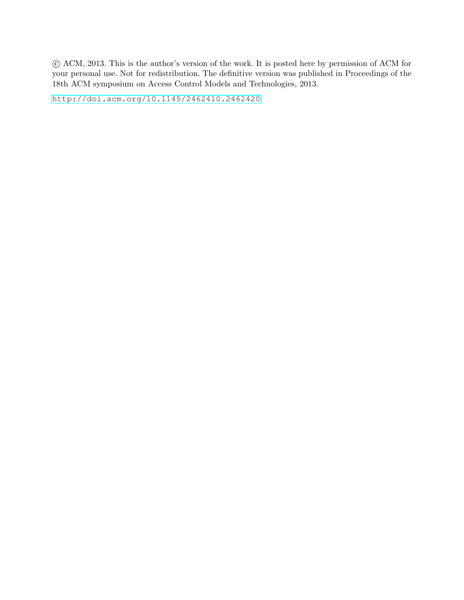c ACM, 2013. This is the author's version of the work. It is posted here by permission of ACM for your personal use. Not for redistribution. The definitive version was published in Proceedings of the 18th ACM symposium on Access Control Models and Technologies, 2013.

<http://doi.acm.org/10.1145/2462410.2462420>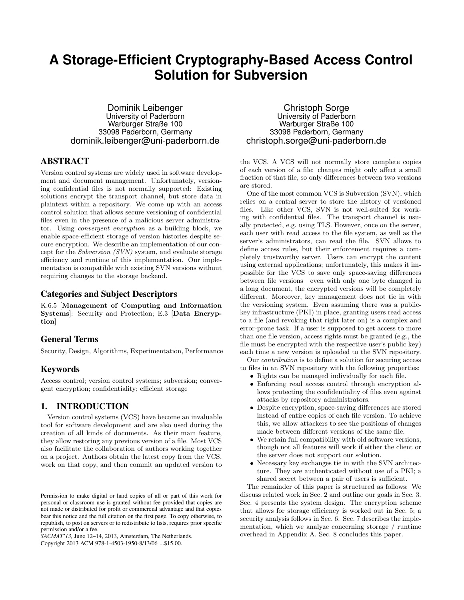# **A Storage-Efficient Cryptography-Based Access Control Solution for Subversion**

Dominik Leibenger University of Paderborn Warburger Straße 100 33098 Paderborn, Germany dominik.leibenger@uni-paderborn.de

# ABSTRACT

Version control systems are widely used in software development and document management. Unfortunately, versioning confidential files is not normally supported: Existing solutions encrypt the transport channel, but store data in plaintext within a repository. We come up with an access control solution that allows secure versioning of confidential files even in the presence of a malicious server administrator. Using convergent encryption as a building block, we enable space-efficient storage of version histories despite secure encryption. We describe an implementation of our concept for the Subversion (SVN) system, and evaluate storage efficiency and runtime of this implementation. Our implementation is compatible with existing SVN versions without requiring changes to the storage backend.

## Categories and Subject Descriptors

K.6.5 [Management of Computing and Information Systems]: Security and Protection; E.3 [Data Encryption]

#### General Terms

Security, Design, Algorithms, Experimentation, Performance

## Keywords

Access control; version control systems; subversion; convergent encryption; confidentiality; efficient storage

## 1. INTRODUCTION

Version control systems (VCS) have become an invaluable tool for software development and are also used during the creation of all kinds of documents. As their main feature, they allow restoring any previous version of a file. Most VCS also facilitate the collaboration of authors working together on a project. Authors obtain the latest copy from the VCS, work on that copy, and then commit an updated version to

*SACMAT'13,* June 12–14, 2013, Amsterdam, The Netherlands.

Copyright 2013 ACM 978-1-4503-1950-8/13/06 ...\$15.00.

Christoph Sorge University of Paderborn Warburger Straße 100 33098 Paderborn, Germany christoph.sorge@uni-paderborn.de

the VCS. A VCS will not normally store complete copies of each version of a file: changes might only affect a small fraction of that file, so only differences between two versions are stored.

One of the most common VCS is Subversion (SVN), which relies on a central server to store the history of versioned files. Like other VCS, SVN is not well-suited for working with confidential files. The transport channel is usually protected, e.g. using TLS. However, once on the server, each user with read access to the file system, as well as the server's administrators, can read the file. SVN allows to define access rules, but their enforcement requires a completely trustworthy server. Users can encrypt the content using external applications; unfortunately, this makes it impossible for the VCS to save only space-saving differences between file versions—even with only one byte changed in a long document, the encrypted versions will be completely different. Moreover, key management does not tie in with the versioning system. Even assuming there was a publickey infrastructure (PKI) in place, granting users read access to a file (and revoking that right later on) is a complex and error-prone task. If a user is supposed to get access to more than one file version, access rights must be granted (e.g., the file must be encrypted with the respective user's public key) each time a new version is uploaded to the SVN repository.

Our contribution is to define a solution for securing access to files in an SVN repository with the following properties:

- Rights can be managed individually for each file.
- Enforcing read access control through encryption allows protecting the confidentiality of files even against attacks by repository administrators.
- Despite encryption, space-saving differences are stored instead of entire copies of each file version. To achieve this, we allow attackers to see the positions of changes made between different versions of the same file.
- We retain full compatibility with old software versions, though not all features will work if either the client or the server does not support our solution.
- Necessary key exchanges tie in with the SVN architecture. They are authenticated without use of a PKI; a shared secret between a pair of users is sufficient.

The remainder of this paper is structured as follows: We discuss related work in Sec. 2 and outline our goals in Sec. 3. Sec. 4 presents the system design. The encryption scheme that allows for storage efficiency is worked out in Sec. 5; a security analysis follows in Sec. 6. Sec. 7 describes the implementation, which we analyze concerning storage / runtime overhead in Appendix A. Sec. 8 concludes this paper.

Permission to make digital or hard copies of all or part of this work for personal or classroom use is granted without fee provided that copies are not made or distributed for profit or commercial advantage and that copies bear this notice and the full citation on the first page. To copy otherwise, to republish, to post on servers or to redistribute to lists, requires prior specific permission and/or a fee.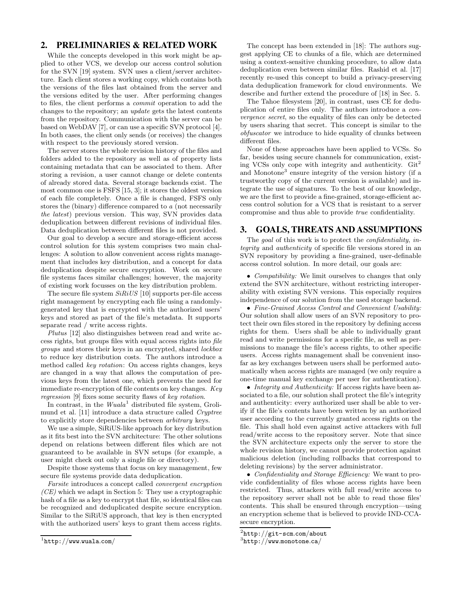## 2. PRELIMINARIES & RELATED WORK

While the concepts developed in this work might be applied to other VCS, we develop our access control solution for the SVN [19] system. SVN uses a client/server architecture. Each client stores a working copy, which contains both the versions of the files last obtained from the server and the versions edited by the user. After performing changes to files, the client performs a commit operation to add the changes to the repository; an update gets the latest contents from the repository. Communication with the server can be based on WebDAV [7], or can use a specific SVN protocol [4]. In both cases, the client only sends (or receives) the changes with respect to the previously stored version.

The server stores the whole revision history of the files and folders added to the repository as well as of property lists containing metadata that can be associated to them. After storing a revision, a user cannot change or delete contents of already stored data. Several storage backends exist. The most common one is FSFS [15, 3]; it stores the oldest version of each file completely. Once a file is changed, FSFS only stores the (binary) difference compared to a (not necessarily the latest) previous version. This way, SVN provides data deduplication between different revisions of individual files. Data deduplication between different files is not provided.

Our goal to develop a secure and storage-efficient access control solution for this system comprises two main challenges: A solution to allow convenient access rights management that includes key distribution, and a concept for data deduplication despite secure encryption. Work on secure file systems faces similar challenges; however, the majority of existing work focusses on the key distribution problem.

The secure file system  $SiRiUS$  [10] supports per-file access right management by encrypting each file using a randomlygenerated key that is encrypted with the authorized users' keys and stored as part of the file's metadata. It supports separate read / write access rights.

Plutus [12] also distinguishes between read and write access rights, but groups files with equal access rights into file groups and stores their keys in an encrypted, shared lockbox to reduce key distribution costs. The authors introduce a method called key rotation: On access rights changes, keys are changed in a way that allows the computation of previous keys from the latest one, which prevents the need for immediate re-encryption of file contents on key changes. Key regression [9] fixes some security flaws of key rotation.

In contrast, in the  $Wuala<sup>1</sup>$  distributed file system, Grolimund et al. [11] introduce a data structure called Cryptree to explicitly store dependencies between arbitrary keys.

We use a simple, SiRiUS-like approach for key distribution as it fits best into the SVN architecture: The other solutions depend on relations between different files which are not guaranteed to be available in SVN setups (for example, a user might check out only a single file or directory).

Despite those systems that focus on key management, few secure file systems provide data deduplication.

Farsite introduces a concept called convergent encryption  $(CE)$  which we adapt in Section 5: They use a cryptographic hash of a file as a key to encrypt that file, so identical files can be recognized and deduplicated despite secure encryption. Similar to the SiRiUS approach, that key is then encrypted with the authorized users' keys to grant them access rights.

The concept has been extended in [18]: The authors suggest applying CE to chunks of a file, which are determined using a context-sensitive chunking procedure, to allow data deduplication even between similar files. Rashid et al. [17] recently re-used this concept to build a privacy-preserving data deduplication framework for cloud environments. We describe and further extend the procedure of [18] in Sec. 5.

The Tahoe filesystem [20], in contrast, uses CE for deduplication of entire files only. The authors introduce a convergence secret, so the equality of files can only be detected by users sharing that secret. This concept is similar to the obfuscator we introduce to hide equality of chunks between different files.

None of these approaches have been applied to VCSs. So far, besides using secure channels for communication, existing VCSs only cope with integrity and authenticity.  $\mathrm{Git}^2$ and Monotone<sup>3</sup> ensure integrity of the version history (if a trustworthy copy of the current version is available) and integrate the use of signatures. To the best of our knowledge, we are the first to provide a fine-grained, storage-efficient access control solution for a VCS that is resistant to a server compromise and thus able to provide true confidentiality.

## 3. GOALS, THREATS AND ASSUMPTIONS

The goal of this work is to protect the *confidentiality*, *in*tegrity and authenticity of specific file versions stored in an SVN repository by providing a fine-grained, user-definable access control solution. In more detail, our goals are:

• *Compatibility:* We limit ourselves to changes that only extend the SVN architecture, without restricting interoperability with existing SVN versions. This especially requires independence of our solution from the used storage backend.

• Fine-Grained Access Control and Convenient Usability: Our solution shall allow users of an SVN repository to protect their own files stored in the repository by defining access rights for them. Users shall be able to individually grant read and write permissions for a specific file, as well as permissions to manage the file's access rights, to other specific users. Access rights management shall be convenient insofar as key exchanges between users shall be performed automatically when access rights are managed (we only require a one-time manual key exchange per user for authentication).

• Integrity and Authenticity: If access rights have been associated to a file, our solution shall protect the file's integrity and authenticity: every authorized user shall be able to verify if the file's contents have been written by an authorized user according to the currently granted access rights on the file. This shall hold even against active attackers with full read/write access to the repository server. Note that since the SVN architecture expects only the server to store the whole revision history, we cannot provide protection against malicious deletion (including rollbacks that correspond to deleting revisions) by the server administrator.

• Confidentiality and Storage Efficiency: We want to provide confidentiality of files whose access rights have been restricted. Thus, attackers with full read/write access to the repository server shall not be able to read those files' contents. This shall be ensured through encryption—using an encryption scheme that is believed to provide IND-CCAsecure encryption.

 $\frac{1}{1}$ http://www.wuala.com/

 $^{2}$ http://git-scm.com/about

 $^3$ http://www.monotone.ca/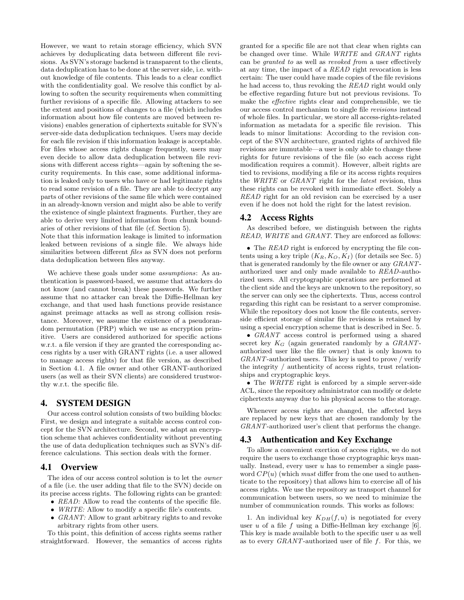However, we want to retain storage efficiency, which SVN achieves by deduplicating data between different file revisions. As SVN's storage backend is transparent to the clients, data deduplication has to be done at the server side, i.e. without knowledge of file contents. This leads to a clear conflict with the confidentiality goal. We resolve this conflict by allowing to soften the security requirements when committing further revisions of a specific file. Allowing attackers to see the extent and positions of changes to a file (which includes information about how file contents are moved between revisions) enables generation of ciphertexts suitable for SVN's server-side data deduplication techniques. Users may decide for each file revision if this information leakage is acceptable. For files whose access rights change frequently, users may even decide to allow data deduplication between file revisions with different access rights—again by softening the security requirements. In this case, some additional information is leaked only to users who have or had legitimate rights to read some revision of a file. They are able to decrypt any parts of other revisions of the same file which were contained in an already-known version and might also be able to verify the existence of single plaintext fragments. Further, they are able to derive very limited information from chunk boundaries of other revisions of that file (cf. Section 5).

Note that this information leakage is limited to information leaked between revisions of a single file. We always hide similarities between different files as SVN does not perform data deduplication between files anyway.

We achieve these goals under some assumptions: As authentication is password-based, we assume that attackers do not know (and cannot break) these passwords. We further assume that no attacker can break the Diffie-Hellman key exchange, and that used hash functions provide resistance against preimage attacks as well as strong collision resistance. Moreover, we assume the existence of a pseudorandom permutation (PRP) which we use as encryption primitive. Users are considered authorized for specific actions w.r.t. a file version if they are granted the corresponding access rights by a user with GRANT rights (i.e. a user allowed to manage access rights) for that file version, as described in Section 4.1. A file owner and other GRANT-authorized users (as well as their SVN clients) are considered trustworthy w.r.t. the specific file.

## 4. SYSTEM DESIGN

Our access control solution consists of two building blocks: First, we design and integrate a suitable access control concept for the SVN architecture. Second, we adapt an encryption scheme that achieves confidentiality without preventing the use of data deduplication techniques such as SVN's difference calculations. This section deals with the former.

#### 4.1 Overview

The idea of our access control solution is to let the *owner* of a file (i.e. the user adding that file to the SVN) decide on its precise access rights. The following rights can be granted:

- READ: Allow to read the contents of the specific file.
- WRITE: Allow to modify a specific file's contents.
- GRANT: Allow to grant arbitrary rights to and revoke arbitrary rights from other users.

To this point, this definition of access rights seems rather straightforward. However, the semantics of access rights granted for a specific file are not that clear when rights can be changed over time. While WRITE and GRANT rights can be granted to as well as revoked from a user effectively at any time, the impact of a READ right revocation is less certain: The user could have made copies of the file revisions he had access to, thus revoking the READ right would only be effective regarding future but not previous revisions. To make the effective rights clear and comprehensible, we tie our access control mechanism to single file revisions instead of whole files. In particular, we store all access-rights-related information as metadata for a specific file revision. This leads to minor limitations: According to the revision concept of the SVN architecture, granted rights of archived file revisions are immutable—a user is only able to change these rights for future revisions of the file (so each access right modification requires a commit). However, albeit rights are tied to revisions, modifying a file or its access rights requires the WRITE or GRANT right for the latest revision, thus these rights can be revoked with immediate effect. Solely a READ right for an old revision can be exercised by a user even if he does not hold the right for the latest revision.

## 4.2 Access Rights

As described before, we distinguish between the rights READ, WRITE and GRANT. They are enforced as follows:

• The READ right is enforced by encrypting the file contents using a key triple  $(K_R, K_Q, K_I)$  (for details see Sec. 5) that is generated randomly by the file owner or any GRANTauthorized user and only made available to READ-authorized users. All cryptographic operations are performed at the client side and the keys are unknown to the repository, so the server can only see the ciphertexts. Thus, access control regarding this right can be resistant to a server compromise. While the repository does not know the file contents, serverside efficient storage of similar file revisions is retained by using a special encryption scheme that is described in Sec. 5.

• GRANT access control is performed using a shared secret key  $K_G$  (again generated randomly by a  $GRANT$ authorized user like the file owner) that is only known to GRANT-authorized users. This key is used to prove / verify the integrity / authenticity of access rights, trust relationships and cryptographic keys.

• The WRITE right is enforced by a simple server-side ACL, since the repository administrator can modify or delete ciphertexts anyway due to his physical access to the storage.

Whenever access rights are changed, the affected keys are replaced by new keys that are chosen randomly by the GRANT-authorized user's client that performs the change.

#### 4.3 Authentication and Key Exchange

To allow a convenient exertion of access rights, we do not require the users to exchange those cryptographic keys manually. Instead, every user  $u$  has to remember a single password  $CP(u)$  (which *must* differ from the one used to authenticate to the repository) that allows him to exercise all of his access rights. We use the repository as transport channel for communication between users, so we need to minimize the number of communication rounds. This works as follows:

1. An individual key  $K_{DH}(f, u)$  is negotiated for every user  $u$  of a file  $f$  using a Diffie-Hellman key exchange [6]. This key is made available both to the specific user  $u$  as well as to every  $GRANT$ -authorized user of file f. For this, we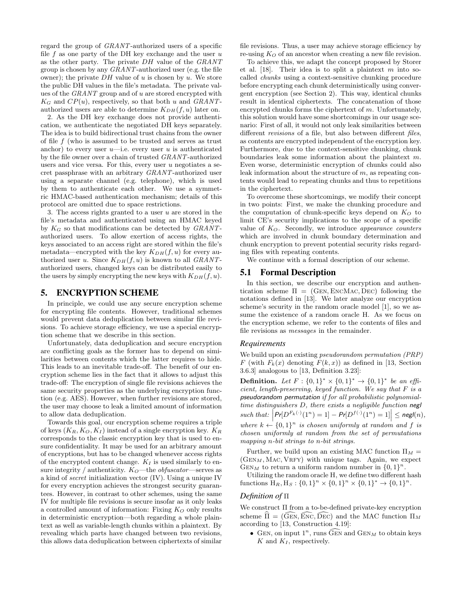regard the group of GRANT-authorized users of a specific file  $f$  as one party of the DH key exchange and the user  $u$ as the other party. The private DH value of the GRANT group is chosen by any GRANT-authorized user (e.g. the file owner); the private  $DH$  value of u is chosen by u. We store the public DH values in the file's metadata. The private values of the GRANT group and of u are stored encrypted with  $K_G$  and  $CP(u)$ , respectively, so that both u and GRANTauthorized users are able to determine  $K_{DH}(f, u)$  later on.

2. As the DH key exchange does not provide authentication, we authenticate the negotiated DH keys separately. The idea is to build bidirectional trust chains from the owner of file  $f$  (who is assumed to be trusted and serves as trust anchor) to every user  $u$ —i.e. every user u is authenticated by the file owner over a chain of trusted GRANT-authorized users and vice versa. For this, every user  $u$  negotiates a secret passphrase with an arbitrary GRANT-authorized user using a separate channel (e.g. telephone), which is used by them to authenticate each other. We use a symmetric HMAC-based authentication mechanism; details of this protocol are omitted due to space restrictions.

3. The access rights granted to a user  $u$  are stored in the file's metadata and authenticated using an HMAC keyed by  $K_G$  so that modifications can be detected by  $GRANT$ authorized users. To allow exertion of access rights, the keys associated to an access right are stored within the file's metadata—encrypted with the key  $K_{DH}(f, u)$  for every authorized user u. Since  $K_{DH}(f, u)$  is known to all  $GRANT$ authorized users, changed keys can be distributed easily to the users by simply encrypting the new keys with  $K_{DH}(f, u)$ .

## 5. ENCRYPTION SCHEME

In principle, we could use any secure encryption scheme for encrypting file contents. However, traditional schemes would prevent data deduplication between similar file revisions. To achieve storage efficiency, we use a special encryption scheme that we describe in this section.

Unfortunately, data deduplication and secure encryption are conflicting goals as the former has to depend on similarities between contents which the latter requires to hide. This leads to an inevitable trade-off. The benefit of our encryption scheme lies in the fact that it allows to adjust this trade-off: The encryption of single file revisions achieves the same security properties as the underlying encryption function (e.g. AES). However, when further revisions are stored, the user may choose to leak a limited amount of information to allow data deduplication.

Towards this goal, our encryption scheme requires a triple of keys  $(K_R, K_Q, K_I)$  instead of a single encryption key.  $K_R$ corresponds to the classic encryption key that is used to ensure confidentiality. It may be used for an arbitrary amount of encryptions, but has to be changed whenever access rights of the encrypted content change.  $K_I$  is used similarly to ensure integrity / authenticity.  $K_O$ —the *obfuscator*—serves as a kind of secret initialization vector (IV). Using a unique IV for every encryption achieves the strongest security guarantees. However, in contrast to other schemes, using the same IV for multiple file revisions is secure insofar as it only leaks a controlled amount of information: Fixing  $K_Q$  only results in deterministic encryption—both regarding a whole plaintext as well as variable-length chunks within a plaintext. By revealing which parts have changed between two revisions, this allows data deduplication between ciphertexts of similar

file revisions. Thus, a user may achieve storage efficiency by re-using  $K_Q$  of an ancestor when creating a new file revision.

To achieve this, we adapt the concept proposed by Storer et al.  $[18]$ . Their idea is to split a plaintext m into socalled chunks using a context-sensitive chunking procedure before encrypting each chunk deterministically using convergent encryption (see Section 2). This way, identical chunks result in identical ciphertexts. The concatenation of those encrypted chunks forms the ciphertext of  $m$ . Unfortunately, this solution would have some shortcomings in our usage scenario: First of all, it would not only leak similarities between different revisions of a file, but also between different files, as contents are encrypted independent of the encryption key. Furthermore, due to the context-sensitive chunking, chunk boundaries leak some information about the plaintext m. Even worse, deterministic encryption of chunks could also leak information about the structure of  $m$ , as repeating contents would lead to repeating chunks and thus to repetitions in the ciphertext.

To overcome these shortcomings, we modify their concept in two points: First, we make the chunking procedure and the computation of chunk-specific keys depend on  $K_Q$  to limit CE's security implications to the scope of a specific value of  $K_Q$ . Secondly, we introduce appearance counters which are involved in chunk boundary determination and chunk encryption to prevent potential security risks regarding files with repeating contents.

We continue with a formal description of our scheme.

#### 5.1 Formal Description

In this section, we describe our encryption and authentication scheme  $\Pi = (GEN, ENCMAC, DEC)$  following the notations defined in [13]. We later analyze our encryption scheme's security in the random oracle model [1], so we assume the existence of a random oracle H. As we focus on the encryption scheme, we refer to the contents of files and file revisions as messages in the remainder.

#### *Requirements*

We build upon an existing *pseudorandom permutation* (*PRP*) F (with  $F_k(x)$  denoting  $F(k, x)$ ) as defined in [13, Section 3.6.3] analogous to [13, Definition 3.23]:

**Definition.** Let  $F : \{0,1\}^* \times \{0,1\}^* \to \{0,1\}^*$  be an efficient, length-preserving, keyed function. We say that F is a pseudorandom permutation if for all probabilistic polynomialtime distinguishers D, there exists a negligible function negl such that:  $\left| Pr[D^{F_k(\cdot)}(1^n) = 1] - Pr[D^{f(\cdot)}(1^n) = 1] \right| \leq {\sf negl}(n),$ where  $k \leftarrow \{0,1\}^n$  is chosen uniformly at random and f is chosen uniformly at random from the set of permutations mapping n-bit strings to n-bit strings.

Further, we build upon an existing MAC function  $\Pi_M =$  $(GEN_M, MAC, VRFY)$  with unique tags. Again, we expect GENM to return a uniform random number in  $\{0,1\}^n$ .

Utilizing the random oracle H, we define two different hash functions  $H_R$ ,  $H_S$ :  $\{0, 1\}^n \times \{0, 1\}^n \times \{0, 1\}^* \to \{0, 1\}^n$ .

#### *Definition of* Π

We construct Π from a to-be-defined private-key encryption scheme  $\hat{\Pi} = (\hat{\text{GEN}}, \hat{\text{Enc}}, \hat{\text{Dec}})$  and the MAC function  $\Pi_M$ according to [13, Construction 4.19]:

• GEN, on input  $1^n$ , runs  $\widehat{G}$ EN and  $\text{GEN}_M$  to obtain keys  $K$  and  $K_I$ , respectively.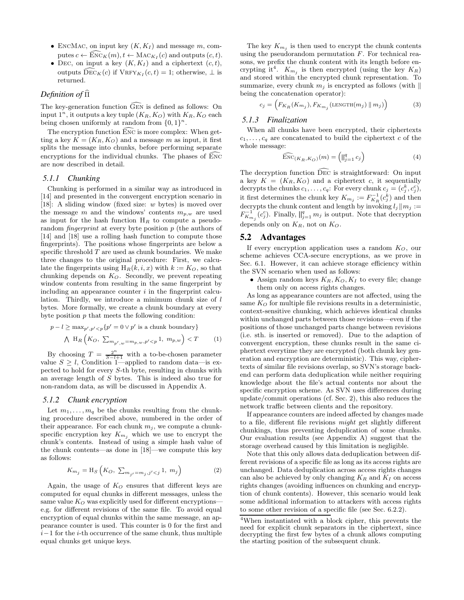- ENCMAC, on input key  $(K, K_I)$  and message m, computes  $c \leftarrow \text{ENC}_K(m), t \leftarrow \text{MAC}_{K_I}(c)$  and outputs  $(c, t)$ .
- DEC, on input a key  $(K, K_I)$  and a ciphertext  $(c, t)$ , outputs  $\mathrm{Dec}_K(c)$  if  $\mathrm{VRFY}_{K_I}(c, t) = 1$ ; otherwise,  $\perp$  is returned.

#### *Definition of*  $\hat{\Pi}$

The key-generation function  $\widehat{G}_{EN}$  is defined as follows: On input  $1^n$ , it outputs a key tuple  $(K_R, K_Q)$  with  $K_R, K_Q$  each being chosen uniformly at random from  $\{0, 1\}^n$ .

The encryption function ENC is more complex: When getting a key  $K = (K_R, K_Q)$  and a message m as input, it first splits the message into chunks, before performing separate encryptions for the individual chunks. The phases of  $\overline{ENC}$ are now described in detail.

#### *5.1.1 Chunking*

Chunking is performed in a similar way as introduced in [14] and presented in the convergent encryption scenario in [18]: A sliding window (fixed size: w bytes) is moved over the message  $m$  and the windows' contents  $m_{p,w}$  are used as input for the hash function  $H_R$  to compute a pseudorandom *fingerprint* at every byte position  $p$  (the authors of [14] and [18] use a rolling hash function to compute those fingerprints). The positions whose fingerprints are below a specific threshold  $T$  are used as chunk boundaries. We make three changes to the original procedure: First, we calculate the fingerprints using  $H_R(k, i, x)$  with  $k := K_O$ , so that chunking depends on  $K<sub>O</sub>$ . Secondly, we prevent repeating window contents from resulting in the same fingerprint by including an appearance counter  $i$  in the fingerprint calculation. Thirdly, we introduce a minimum chunk size of l bytes. More formally, we create a chunk boundary at every byte position  $p$  that meets the following condition:

$$
p - l \ge \max_{p',p' < p} \{p' = 0 \lor p' \text{ is a chunk boundary}\}
$$
\n
$$
\bigwedge \text{ H}_R \left(K_O, \sum_{m_{p',w} = m_{p,w}, p' < p} 1, m_{p,w}\right) < T
$$
\n
$$
(1)
$$

By choosing  $T = \frac{2^n}{S-l+1}$  with a to-be-chosen parameter value  $S \geq l$ , Condition 1—applied to random data—is expected to hold for every S-th byte, resulting in chunks with an average length of S bytes. This is indeed also true for non-random data, as will be discussed in Appendix A.

#### *5.1.2 Chunk encryption*

Let  $m_1, \ldots, m_q$  be the chunks resulting from the chunking procedure described above, numbered in the order of their appearance. For each chunk  $m_i$ , we compute a chunkspecific encryption key  $K_{m_j}$  which we use to encrypt the chunk's contents. Instead of using a simple hash value of the chunk contents—as done in [18]—we compute this key as follows:

$$
K_{m_j} = H_S \left( K_O, \ \sum_{m_{j'} = m_j, j' < j} 1, \ m_j \right) \tag{2}
$$

Again, the usage of  $K_O$  ensures that different keys are computed for equal chunks in different messages, unless the same value  $K_O$  was explicitly used for different encryptions e.g. for different revisions of the same file. To avoid equal encryption of equal chunks within the same message, an appearance counter is used. This counter is 0 for the first and  $i-1$  for the *i*-th occurrence of the same chunk, thus multiple equal chunks get unique keys.

The key  $K_{m_j}$  is then used to encrypt the chunk contents using the pseudorandom permutation  $F$ . For technical reasons, we prefix the chunk content with its length before encrypting it<sup>4</sup>.  $K_{m_j}$  is then encrypted (using the key  $K_R$ ) and stored within the encrypted chunk representation. To summarize, every chunk  $m_i$  is encrypted as follows (with  $\parallel$ being the concatenation operator):

$$
c_j = \left( F_{K_R}(K_{m_j}), F_{K_{m_j}}(\text{LENGTH}(m_j) \parallel m_j) \right) \tag{3}
$$

## *5.1.3 Finalization*

When all chunks have been encrypted, their ciphertexts  $c_1, \ldots, c_q$  are concatenated to build the ciphertext c of the whole message:

$$
\widehat{\text{Enc}}_{(K_R, K_O)}(m) = \left( \bigg| \bigg|_{j=1}^q c_j \right) \tag{4}
$$

The decryption function  $\widetilde{Dec}$  is straightforward: On input a key  $K = (K_R, K_Q)$  and a ciphertext c, it sequentially decrypts the chunks  $c_1, \ldots, c_q$ : For every chunk  $c_j = (c_j^k, c_j^c)$ , it first determines the chunk key  $K_{m_j} := F_{K_R}^{-1}(c_j^k)$  and then decrypts the chunk content and length by invoking  $l_j || m_j :=$  $F_{K_{m_j}}^{-1}(c_j^c)$ . Finally,  $\|_{j=1}^q m_j$  is output. Note that decryption depends only on  $K_R$ , not on  $K_Q$ .

#### 5.2 Advantages

If every encryption application uses a random  $K_Q$ , our scheme achieves CCA-secure encryptions, as we prove in Sec. 6.1. However, it can achieve storage efficiency within the SVN scenario when used as follows:

• Assign random keys  $K_R$ ,  $K_Q$ ,  $K_I$  to every file; change them only on access rights changes.

As long as appearance counters are not affected, using the same  $K_O$  for multiple file revisions results in a deterministic, context-sensitive chunking, which achieves identical chunks within unchanged parts between those revisions—even if the positions of those unchanged parts change between revisions (i.e. sth. is inserted or removed). Due to the adaption of convergent encryption, these chunks result in the same ciphertext everytime they are encrypted (both chunk key generation and encryption are deterministic). This way, ciphertexts of similar file revisions overlap, so SVN's storage backend can perform data deduplication while neither requiring knowledge about the file's actual contents nor about the specific encryption scheme. As SVN uses differences during update/commit operations (cf. Sec. 2), this also reduces the network traffic between clients and the repository.

If appearance counters are indeed affected by changes made to a file, different file revisions might get slightly different chunkings, thus preventing deduplication of some chunks. Our evaluation results (see Appendix A) suggest that the storage overhead caused by this limitation is negligible.

Note that this only allows data deduplication between different revisions of a specific file as long as its access rights are unchanged. Data deduplication across access rights changes can also be achieved by only changing  $K_R$  and  $K_I$  on access rights changes (avoiding influences on chunking and encryption of chunk contents). However, this scenario would leak some additional information to attackers with access rights to some other revision of a specific file (see Sec. 6.2.2).

<sup>4</sup>When instantiated with a block cipher, this prevents the need for explicit chunk separators in the ciphertext, since decrypting the first few bytes of a chunk allows computing the starting position of the subsequent chunk.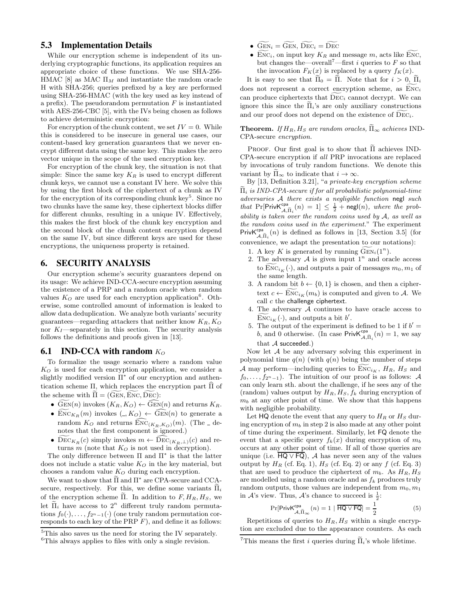## 5.3 Implementation Details

While our encryption scheme is independent of its underlying cryptographic functions, its application requires an appropriate choice of these functions. We use SHA-256- HMAC [8] as MAC  $\Pi_M$  and instantiate the random oracle H with SHA-256; queries prefixed by a key are performed using SHA-256-HMAC (with the key used as key instead of a prefix). The pseudorandom permutation  $F$  is instantiated with AES-256-CBC [5], with the IVs being chosen as follows to achieve deterministic encryption:

For encryption of the chunk content, we set  $IV = 0$ . While this is considered to be insecure in general use cases, our content-based key generation guarantees that we never encrypt different data using the same key. This makes the zero vector unique in the scope of the used encryption key.

For encryption of the chunk key, the situation is not that simple: Since the same key  $K_R$  is used to encrypt different chunk keys, we cannot use a constant IV here. We solve this by using the first block of the ciphertext of a chunk as IV for the encryption of its corresponding chunk key<sup>5</sup>. Since no two chunks have the same key, these ciphertext blocks differ for different chunks, resulting in a unique IV. Effectively, this makes the first block of the chunk key encryption and the second block of the chunk content encryption depend on the same IV, but since different keys are used for these encryptions, the uniqueness property is retained.

## 6. SECURITY ANALYSIS

Our encryption scheme's security guarantees depend on its usage: We achieve IND-CCA-secure encryption assuming the existence of a PRP and a random oracle when random values  $K_O$  are used for each encryption application<sup>6</sup>. Otherwise, some controlled amount of information is leaked to allow data deduplication. We analyze both variants' security guarantees—regarding attackers that neither know  $K_R$ ,  $K_Q$ nor  $K_I$ —separately in this section. The security analysis follows the definitions and proofs given in [13].

# **6.1** IND-CCA with random  $K_O$

To formalize the usage scenario where a random value  $K<sub>O</sub>$  is used for each encryption application, we consider a slightly modified version  $\Pi^*$  of our encryption and authentication scheme Π, which replaces the encryption part  $\hat{\Pi}$  of the scheme with  $\widetilde{\Pi} = (\widetilde{\text{GEN}}, \widetilde{\text{ENC}}, \widetilde{\text{DEC}})$ :

- $\widetilde{\text{GEN}}(n)$  invokes  $(K_R, K_Q) \leftarrow \widetilde{\text{GEN}}(n)$  and returns  $K_R$ .
- ENC $K_R(m)$  invokes  $(A, K_O) \leftarrow \widehat{\text{GEN}}(n)$  to generate a random  $K_O$  and returns  $\widehat{\text{Enc}}_{(K_R,K_O)}(m)$ . (The  $\Box$  denotes that the first component is ignored.)
- $\widetilde{\mathrm{DEC}}_{K_R}(c)$  simply invokes  $m \leftarrow \mathrm{DEC}_{(K_R,\perp)}(c)$  and returns  $m$  (note that  $K_Q$  is not used in decryption).

The only difference between  $\Pi$  and  $\Pi^*$  is that the latter does not include a static value  $K_O$  in the key material, but chooses a random value  $K_O$  during each encryption.

We want to show that  $\Pi$  and  $\Pi^*$  are CPA-secure and CCAsecure, respectively. For this, we define some variants  $\Pi_i$ of the encryption scheme  $\tilde{\Pi}$ . In addition to  $F, H_R, H_S$ , we let  $\tilde{\Pi}_i$  have access to  $2^n$  different truly random permutations  $f_0(\cdot), \ldots, f_{2^n-1}(\cdot)$  (one truly random permutation corresponds to each key of the PRP  $F$ ), and define it as follows:

- $\widetilde{\text{GEN}}_i = \widetilde{\text{GEN}}, \ \widetilde{\text{Dec}}_i = \widetilde{\text{Dec}}$
- ENC<sub>i</sub>, on input key  $K_R$  and message m, acts like ENC, but changes the—overall<sup>7</sup>—first i queries to  $F$  so that the invocation  $F_K(x)$  is replaced by a query  $f_K(x)$ .

It is easy to see that  $\tilde{\Pi}_0 = \tilde{\Pi}$ . Note that for  $i > 0$ ,  $\tilde{\Pi}_i$ does not represent a correct encryption scheme, as  $\widetilde{ENC}_i$ can produce ciphertexts that  $\widetilde{\text{DEC}_i}$  cannot decrypt. We can ignore this since the  $\Pi_i$ 's are only auxiliary constructions and our proof does not depend on the existence of  $DEC_i$ .

**Theorem.** If  $H_R$ ,  $H_S$  are random oracles,  $\widetilde{\Pi}_{\infty}$  achieves IND-CPA-secure encryption.

PROOF. Our first goal is to show that  $II$  achieves IND-CPA-secure encryption if all PRP invocations are replaced by invocations of truly random functions. We denote this variant by  $\tilde{\Pi}_{\infty}$  to indicate that  $i \to \infty$ .

By [13, Definition 3.21], "a private-key encryption scheme  $\Pi_i$  is IND-CPA-secure if for all probabilistic polynomial-time adversaries A there exists a negligible function negl such that  $\Pr[\text{PrivK}^{\text{cpa}}_{\mathcal{A}, \tilde{\Pi}_i}(n) = 1] \leq \frac{1}{2} + \text{negl}(n)$ , where the probability is taken over the random coins used by  $A$ , as well as the random coins used in the experiment." The experiment  $\text{PrivK}_{\mathcal{A}, \widetilde{\Pi}_i}^{\mathsf{cpa}}(n)$  is defined as follows in [13, Section 3.5] (for convenience, we adapt the presentation to our notations):

- 1. A key K is generated by running  $\widetilde{\text{GEN}}_i(1^n)$ .
- 2. The adversary  $A$  is given input  $1^n$  and oracle access to  $\text{Enc}_{i_K}(\cdot)$ , and outputs a pair of messages  $m_0, m_1$  of the same length.
- 3. A random bit  $b \leftarrow \{0, 1\}$  is chosen, and then a ciphertext  $c \leftarrow \text{Enc}_{i_K}(m_b)$  is computed and given to A. We call  $c$  the challenge ciphertext.
- 4. The adversary  $A$  continues to have oracle access to  $\text{Enc}_{i_K}(\cdot)$ , and outputs a bit b'.
- 5. The output of the experiment is defined to be 1 if  $b' =$ b, and 0 otherwise. (In case  $\text{PrivK}_{\mathcal{A}, \widetilde{\Pi}_i}^{\text{cpa}}(n) = 1$ , we say that  $A$  succeeded.)

Now let  $A$  be any adversary solving this experiment in polynomial time  $q(n)$  (with  $q(n)$  being the number of steps A may perform—including queries to  $\text{Enc}_{i_K}$ ,  $H_R$ ,  $H_S$  and  $f_0, \ldots, f_{2n-1}$ . The intuition of our proof is as follows: A can only learn sth. about the challenge, if he sees any of the (random) values output by  $H_R$ ,  $H_S$ ,  $f_k$  during encryption of  $m_b$  at any other point of time. We show that this happens with negligible probability.

Let HQ denote the event that any query to  $H_R$  or  $H_S$  during encryption of  $m_b$  in step 2 is also made at any other point of time during the experiment. Similarly, let FQ denote the event that a specific query  $f_k(x)$  during encryption of  $m_b$ occurs at any other point of time. If all of those queries are unique (i.e.  $HQ \vee FQ$ ), A has never seen any of the values output by  $H_R$  (cf. Eq. 1),  $H_S$  (cf. Eq. 2) or any f (cf. Eq. 3) that are used to produce the ciphertext of  $m_b$ . As  $H_R$ ,  $H_S$ are modelled using a random oracle and as  $f_k$  produces truly random outputs, those values are independent from  $m_0, m_1$ in  $\mathcal{A}$ 's view. Thus,  $\mathcal{A}$ 's chance to succeed is  $\frac{1}{2}$ :

$$
\Pr[\text{PrivK}_{\mathcal{A}, \widetilde{\Pi}_{\infty}}^{\text{cpa}}(n) = 1 \mid \overline{\text{HQ} \vee \text{FQ}}] = \frac{1}{2}
$$
(5)

Repetitions of queries to  $H_R$ ,  $H_S$  within a single encryption are excluded due to the appearance counters. As each

<sup>5</sup>This also saves us the need for storing the IV separately.

<sup>&</sup>lt;sup>6</sup>This always applies to files with only a single revision.

<sup>&</sup>lt;sup>7</sup>This means the first *i* queries during  $\Pi_i$ 's whole lifetime.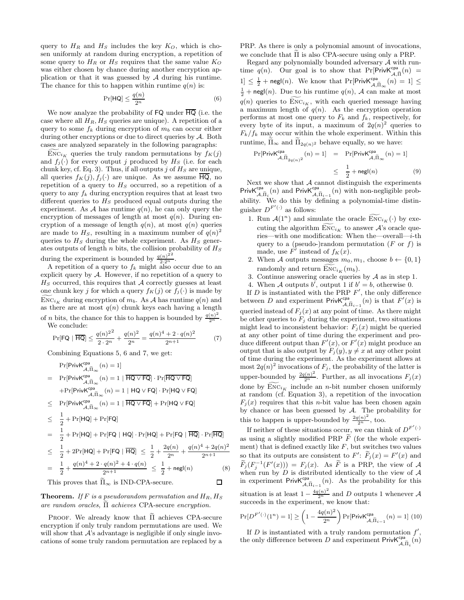query to  $H_R$  and  $H_S$  includes the key  $K_O$ , which is chosen uniformly at random during encryption, a repetition of some query to  $H_R$  or  $H_S$  requires that the same value  $K_O$ was either chosen by chance during another encryption application or that it was guessed by  $A$  during his runtime. The chance for this to happen within runtime  $q(n)$  is:

$$
\Pr[\mathsf{HQ}] \le \frac{q(n)}{2^n} \tag{6}
$$

We now analyze the probability of  $FQ$  under  $\overline{HQ}$  (i.e. the case where all  $H_R$ ,  $H_S$  queries are unique). A repetition of a query to some  $f_k$  during encryption of  $m_b$  can occur either during other encryptions or due to direct queries by A. Both cases are analyzed separately in the following paragraphs:

 $Enc_{i_K}$  queries the truly random permutations by  $f_K(j)$ and  $f_i(\cdot)$  for every output j produced by  $H_S$  (i.e. for each chunk key, cf. Eq. 3). Thus, if all outputs j of  $H<sub>S</sub>$  are unique, all queries  $f_K(j)$ ,  $f_j(\cdot)$  are unique. As we assume HQ, no repetition of a query to  $H<sub>S</sub>$  occurred, so a repetition of a query to any  $f_k$  during encryption requires that at least two different queries to  $H<sub>S</sub>$  produced equal outputs during the experiment. As A has runtime  $q(n)$ , he can only query the encryption of messages of length at most  $q(n)$ . During encryption of a message of length  $q(n)$ , at most  $q(n)$  queries are made to  $H<sub>S</sub>$ , resulting in a maximum number of  $q(n)^2$ queries to  $H<sub>S</sub>$  during the whole experiment. As  $H<sub>S</sub>$  generates outputs of length  $n$  bits, the collision probability of  ${\cal H}_S$ during the experiment is bounded by  $\frac{q(n)^{2^2}}{2\cdot 2^n}$ .

A repetition of a query to  $f_k$  might also occur due to an explicit query by A. However, if no repetition of a query to  $H<sub>S</sub>$  occurred, this requires that A correctly guesses at least one chunk key j for which a query  $f_K(j)$  or  $f_j(\cdot)$  is made by  $\widetilde{\mathrm{Enc}}_{i_K}$  during encryption of  $m_b$ . As A has runtime  $q(n)$  and as there are at most  $q(n)$  chunk keys each having a length of *n* bits, the chance for this to happen is bounded by  $\frac{q(n)^2}{2^n}$ . We conclude:

$$
\Pr[\mathsf{FQ} \mid \overline{\mathsf{HQ}}] \le \frac{q(n)^{2^2}}{2 \cdot 2^n} + \frac{q(n)^2}{2^n} = \frac{q(n)^4 + 2 \cdot q(n)^2}{2^{n+1}} \tag{7}
$$

Combining Equations 5, 6 and 7, we get:

$$
\Pr[\text{PrivK}^{\text{cpa}}_{A,\tilde{\Pi}_{\infty}}(n) = 1]
$$
\n
$$
= \Pr[\text{PrivK}^{\text{cpa}}_{A,\tilde{\Pi}_{\infty}}(n) = 1 | \overline{\text{HQ} \vee \text{FQ}} \cdot \Pr[\overline{\text{HQ} \vee \text{FQ}}]
$$
\n
$$
+ \Pr[\text{PrivK}^{\text{cpa}}_{A,\tilde{\Pi}_{\infty}}(n) = 1 | \overline{\text{HQ} \vee \text{FQ}} \cdot \Pr[\text{HQ} \vee \text{FQ}]
$$
\n
$$
\leq \Pr[\text{PrivK}^{\text{cpa}}_{A,\tilde{\Pi}_{\infty}}(n) = 1 | \overline{\text{HQ} \vee \text{FQ}}] + \Pr[\text{HQ} \vee \text{FQ}]
$$
\n
$$
\leq \frac{1}{2} + \Pr[\text{HQ}] + \Pr[\text{FQ}]
$$
\n
$$
= \frac{1}{2} + \Pr[\text{HQ}] + \Pr[\text{FQ} | \text{HQ}] \cdot \Pr[\text{HQ}] + \Pr[\text{FQ} | \overline{\text{HQ}}] \cdot \Pr[\overline{\text{HQ}}]
$$
\n
$$
\leq \frac{1}{2} + 2\Pr[\text{HQ}] + \Pr[\text{FQ} | \overline{\text{HQ}}] \leq \frac{1}{2} + \frac{2q(n)}{2^n} + \frac{q(n)^4 + 2q(n)^2}{2^{n+1}}
$$
\n
$$
= \frac{1}{2} + \frac{q(n)^4 + 2 \cdot q(n)^2 + 4 \cdot q(n)}{2^{n+1}} \leq \frac{1}{2} + \text{negl}(n) \tag{8}
$$
\nThis proves that  $\tilde{\Pi}_{\infty}$  is IND-CPA-secure.

**Theorem.** If F is a pseudorandom permutation and  $H_R$ ,  $H_S$ are random oracles,  $\tilde{\Pi}$  achieves CPA-secure encryption.

PROOF. We already know that  $\Pi$  achieves CPA-secure encryption if only truly random permutations are used. We will show that  $A$ 's advantage is negligible if only single invocations of some truly random permutation are replaced by a

PRP. As there is only a polynomial amount of invocations, we conclude that  $\overline{\Pi}$  is also CPA-secure using only a PRP.

Regard any polynomially bounded adversary A with runtime q(n). Our goal is to show that  $Pr[**PrivK^{cpa}_{A,\tilde{\Pi}}(n)**$  =  $1] \leq \frac{1}{2} + \mathsf{negl}(n)$ . We know that  $\Pr[\mathsf{PrivK}_{\mathcal{A},\Pi_{\infty}}^{\mathsf{cpa}}(n) = 1] \leq$  $\frac{1}{2}$  + negl(n). Due to his runtime  $q(n)$ , A can make at most  $q(n)$  queries to  $\text{Enc}_{i_K}$ , with each queried message having a maximum length of  $q(n)$ . As the encryption operation performs at most one query to  $F_k$  and  $f_k$ , respectively, for every byte of its input, a maximum of  $2q(n)^2$  queries to  $F_k/f_k$  may occur within the whole experiment. Within this runtime,  $\Pi_{\infty}$  and  $\Pi_{2q(n)^2}$  behave equally, so we have:

$$
\Pr[\text{PrivK}^{\text{cpa}}_{\mathcal{A}, \widetilde{\Pi}_{2q(n)^2}}(n) = 1] = \Pr[\text{PrivK}^{\text{cpa}}_{\mathcal{A}, \widetilde{\Pi}_{\infty}}(n) = 1]
$$
  

$$
\leq \frac{1}{2} + \text{negl}(n) \tag{9}
$$

Next we show that  $A$  cannot distinguish the experiments PrivK<sup>cpa</sup> (n) and PrivK<sup>cpa</sup>  $A, \tilde{\Pi}_{i-1}$  (n) with non-negligible probability. We do this by defining a polynomial-time distinguisher  $D^{F'(\cdot)}$  as follows:

- 1. Run  $\mathcal{A}(1^n)$  and simulate the oracle  $\widetilde{\mathrm{Enc}}_{i_K}(\cdot)$  by executing the algorithm  $\text{Enc}_{i_K}$  to answer  $\mathcal{A}$ 's oracle queries—with one modification: When the—overall—i-th query to a (pseudo-)random permutation  $(F \text{ or } f)$  is made, use  $F'$  instead of  $f_K(x)$ .
- 2. When A outputs messages  $m_0, m_1$ , choose  $b \leftarrow \{0, 1\}$ randomly and return  $\text{Enc}_{i_K}(m_b)$ .
- 3. Continue answering oracle queries by  $A$  as in step 1.
- 4. When A outputs b', output 1 if  $b' = b$ , otherwise 0.

If  $D$  is instantiated with the PRP  $F'$ , the only difference between D and experiment  $\mathsf{PrivK}_{\mathcal{A}, \widetilde{\Pi}_{i-1}}^{\mathsf{cpa}}(n)$  is that  $F'(x)$  is queried instead of  $F_j(x)$  at any point of time. As there might be other queries to  $F_j$  during the experiment, two situations might lead to inconsistent behavior:  $F_i(x)$  might be queried at any other point of time during the experiment and produce different output than  $F'(x)$ , or  $F'(x)$  might produce an output that is also output by  $F_i(y), y \neq x$  at any other point of time during the experiment. As the experiment allows at most  $2q(n)^2$  invocations of  $F_j$ , the probability of the latter is upper-bounded by  $\frac{2q(n)^2}{2^n}$ . Further, as all invocations  $F_j(x)$ done by  $\widetilde{\mathrm{ENC}}_{i_K}$  include an *n*-bit number chosen uniformly at random (cf. Equation 3), a repetition of the invocation  $F_i(x)$  requires that this *n*-bit value has been chosen again by chance or has been guessed by  $A$ . The probability for this to happen is upper-bounded by  $\frac{2q(n)^2}{2^n}$ , too.

If neither of these situations occur, we can think of  $D^{F'(\cdot)}$ as using a slightly modified PRP  $\widetilde{F}$  (for the whole experiment) that is defined exactly like  $F$ , but switches two values so that its outputs are consistent to  $F'$ :  $F_j(x) = F'(x)$  and  $\widetilde{F}_j(F_j^{-1}(F'(x))) = F_j(x)$ . As  $\widetilde{F}$  is a PRP, the view of A  $f_{j}(r_j - r(x)) = f_{j}(x)$ . As T is a Tirt, the view of A when run by D is distributed identically to the view of A in experiment PrivK<sup>cpa</sup><sub>A, $\tilde{\Pi}_{i-1}(n)$ </sub>. As the probability for this situation is at least  $1 - \frac{4q(n)^2}{2^n}$  and D outputs 1 whenever A succeeds in the experiment, we know that:

$$
\Pr[D^{F'(\cdot)}(1^n) = 1] \ge \left(1 - \frac{4q(n)^2}{2^n}\right) \Pr[\text{PrivK}^{\text{cpa}}_{\mathcal{A}, \widetilde{\Pi}_{i-1}}(n) = 1] \tag{10}
$$

If  $D$  is instantiated with a truly random permutation  $f'$ , the only difference between D and experiment  $\mathsf{PrivK}_{\mathcal{A}, \widetilde{\Pi}_i}^{\mathsf{cpa}}(n)$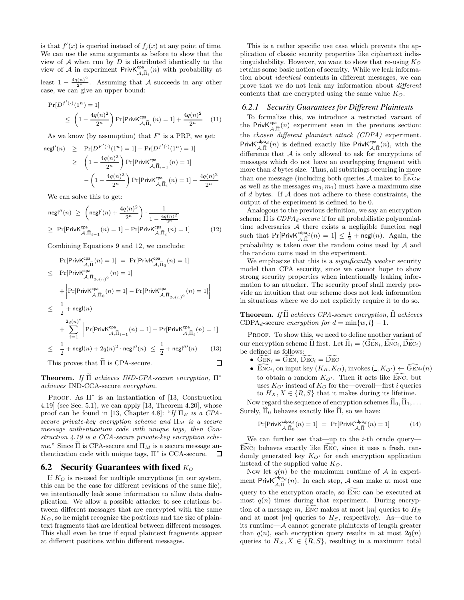is that  $f'(x)$  is queried instead of  $f_j(x)$  at any point of time. We can use the same arguments as before to show that the view of  $A$  when run by  $D$  is distributed identically to the view of A in experiment  ${\sf PrivK}_{\mathcal{A},\widetilde{\Pi}_i}^{\mathsf{cpa}}(n)$  with probability at least  $1 - \frac{4q(n)^2}{2^n}$ . Assuming that A succeeds in any other case, we can give an upper bound:

$$
\Pr[D^{f'(\cdot)}(1^n) = 1] \le \left(1 - \frac{4q(n)^2}{2^n}\right) \Pr[\text{PrivK}^{\text{cpa}}_{\mathcal{A}, \widetilde{\Pi}_i}(n) = 1] + \frac{4q(n)^2}{2^n} \quad (11)
$$

As we know (by assumption) that  $F'$  is a PRP, we get:

$$
(n) \geq \Pr[D^{F'(\cdot)}(1^n) = 1] - \Pr[D^{f'(\cdot)}(1^n) = 1]
$$
  
 
$$
\geq \left(1 - \frac{4q(n)^2}{2^n}\right) \Pr[\text{PrivK}^{\text{cpa}}_{\mathcal{A}, \tilde{\Pi}_{i-1}}(n) = 1]
$$
  
 
$$
- \left(1 - \frac{4q(n)^2}{2^n}\right) \Pr[\text{PrivK}^{\text{cpa}}_{\mathcal{A}, \tilde{\Pi}_{i}}(n) = 1] - \frac{4q(n)^2}{2^n}
$$

We can solve this to get:

negl′

$$
\begin{aligned} & \mathsf{negl}''(n) \ \ge \ \left(\mathsf{negl}'(n) + \frac{4q(n)^2}{2^n}\right) \cdot \frac{1}{1 - \frac{4q(n)^2}{2^n}} \\ & \ge \ \Pr[\mathsf{PrivK}_{\mathcal{A}, \widetilde{\Pi}_{i-1}}^{cpa}(n) = 1] - \Pr[\mathsf{PrivK}_{\mathcal{A}, \widetilde{\Pi}_{i}}^{cpa}(n) = 1] \end{aligned} \tag{12}
$$

Combining Equations 9 and 12, we conclude:

$$
\Pr[\text{PrivK}_{\mathcal{A}, \tilde{\Pi}}^{\text{cpa}}(n) = 1] = \Pr[\text{PrivK}_{\mathcal{A}, \tilde{\Pi}_0}^{\text{cpa}}(n) = 1]
$$
\n
$$
\leq \Pr[\text{PrivK}_{\mathcal{A}, \tilde{\Pi}_{2q(n)}^2}^{\text{cpa}}(n) = 1]
$$
\n
$$
+ \left| \Pr[\text{PrivK}_{\mathcal{A}, \tilde{\Pi}_0}^{\text{cpa}}(n) = 1] - \Pr[\text{PrivK}_{\mathcal{A}, \tilde{\Pi}_{2q(n)}^2}^{\text{cpa}}(n) = 1] \right|
$$
\n
$$
\leq \frac{1}{2} + \text{negl}(n)
$$
\n
$$
+ \sum_{i=1}^{2q(n)^2} \left| \Pr[\text{PrivK}_{\mathcal{A}, \tilde{\Pi}_{i-1}}^{\text{cpa}}(n) = 1] - \Pr[\text{PrivK}_{\mathcal{A}, \tilde{\Pi}_i}^{\text{cpa}}(n) = 1] \right|
$$
\n
$$
\leq \frac{1}{2} + \text{negl}(n) + 2q(n)^2 \cdot \text{negl}''(n) \leq \frac{1}{2} + \text{negl}'''(n) \tag{13}
$$

This proves that  $\widetilde{\Pi}$  is CPA-secure.  $\Box$ 

**Theorem.** If  $\Pi$  achieves IND-CPA-secure encryption,  $\Pi^*$ achieves IND-CCA-secure encryption.

PROOF. As  $\Pi^*$  is an instantiation of [13, Construction 4.19] (see Sec. 5.1), we can apply [13, Theorem 4.20], whose proof can be found in [13, Chapter 4.8]: "If  $\Pi_E$  is a CPAsecure private-key encryption scheme and  $\Pi_M$  is a secure message authentication code with unique tags, then Construction 4.19 is a CCA-secure private-key encryption scheme." Since II is CPA-secure and  $\Pi_M$  is a secure message au-<br>thentication code with unique tags,  $\Pi^*$  is CCA-secure. thentication code with unique tags, Π<sup>∗</sup> is CCA-secure.

#### 6.2 Security Guarantees with fixed  $K_O$

If  $K_Q$  is re-used for multiple encryptions (in our system, this can be the case for different revisions of the same file), we intentionally leak some information to allow data deduplication. We allow a possible attacker to see relations between different messages that are encrypted with the same  $K_O$ , so he might recognize the positions and the size of plaintext fragments that are identical between different messages. This shall even be true if equal plaintext fragments appear at different positions within different messages.

This is a rather specific use case which prevents the application of classic security properties like ciphertext indistinguishability. However, we want to show that re-using  $K_O$ retains some basic notion of security. While we leak information about identical contents in different messages, we can prove that we do not leak any information about different contents that are encrypted using the same value  $K_O$ .

#### *6.2.1 Security Guarantees for Different Plaintexts*

To formalize this, we introduce a restricted variant of the Priv $K_{\mathcal{A},\hat{\Pi}}^{\mathsf{cpa}}(n)$  experiment seen in the previous section: the chosen different plaintext attack (CDPA) experiment. PrivK<sup>cdpa</sup>d(n) is defined exactly like PrivK<sup>cpa</sup> $(A, \hat{\Pi}(n))$ , with the difference that  $A$  is only allowed to ask for encryptions of messages which do not have an overlapping fragment with more than d bytes size. Thus, all substrings occuring in more than one message (including both queries  $\mathcal A$  makes to  $\widehat{\mathrm{Enc}}_K$ as well as the messages  $m_0, m_1$ ) must have a maximum size of d bytes. If A does not adhere to these constraints, the output of the experiment is defined to be 0.

Analogous to the previous definition, we say an encryption scheme  $\hat{\Pi}$  is  $CDPA_d\text{-}secure$  if for all probabilistic polynomialtime adversaries  $A$  there exists a negligible function negl such that  $Pr[PrivK_{\mathcal{A},\hat{\Pi}}^{cdpa_d}(n) = 1] \leq \frac{1}{2} + negl(n)$ . Again, the probability is taken over the random coins used by  $A$  and the random coins used in the experiment.

We emphasize that this is a *significantly weaker* security model than CPA security, since we cannot hope to show strong security properties when intentionally leaking information to an attacker. The security proof shall merely provide an intuition that our scheme does not leak information in situations where we do not explicitly require it to do so.

Theorem. If Π achieves CPA-secure encryption, Π achieves CDPA<sub>d</sub>-secure encryption for  $d = \min\{w, l\} - 1$ .

PROOF. To show this, we need to define another variant of our encryption scheme  $\hat{\Pi}$  first. Let  $\hat{\Pi}_i = (\hat{\text{G}} \hat{\text{EN}}_i, \hat{\text{EN}} \hat{\text{C}}_i, \hat{\text{DEC}}_i)$ be defined as follows:

•  $GEN_i = GEN$ ,  $DEC_i = DEC$ 

 $\overline{\phantom{a}}$ ļ I I

> • ENC<sub>i</sub>, on input key  $(K_R, K_O)$ , invokes  $(X, K_O) \leftarrow \widehat{\text{GEN}}_i(n)$ to obtain a random  $K_{O'}$ . Then it acts like ENC, but uses  $K_{O'}$  instead of  $K_{O}$  for the—overall—first *i* queries to  $H_X, X \in \{R, S\}$  that it makes during its lifetime.

Now regard the sequence of encryption schemes  $\Pi_0, \Pi_1, \ldots$ Surely,  $\Pi_0$  behaves exactly like  $\Pi$ , so we have:

$$
\Pr[\text{PrivK}_{\mathcal{A},\widehat{\Pi}_{0}}^{\text{cdpa}_{d}}(n) = 1] = \Pr[\text{PrivK}_{\mathcal{A},\widehat{\Pi}}^{\text{cdpa}_{d}}(n) = 1] \tag{14}
$$

We can further see that—up to the  $i$ -th oracle query—  $Enc<sub>i</sub>$  behaves exactly like ENC, since it uses a fresh, randomly generated key  $K_{O'}$  for each encryption application instead of the supplied value  $K_O$ .

Now let  $q(n)$  be the maximum runtime of A in experiment Priv $\mathsf{K}_{\mathcal{A},\widetilde{\Pi}}^{\mathsf{clpa}_d}(n)$ . In each step,  $\mathcal{A}$  can make at most one query to the encryption oracle, so ENC can be executed at most  $q(n)$  times during that experiment. During encryption of a message m, ENC makes at most  $|m|$  queries to  $H_R$ and at most  $|m|$  queries to  $H<sub>S</sub>$ , respectively. As—due to its runtime—A cannot generate plaintexts of length greater than  $q(n)$ , each encryption query results in at most  $2q(n)$ queries to  $H_X, X \in \{R, S\}$ , resulting in a maximum total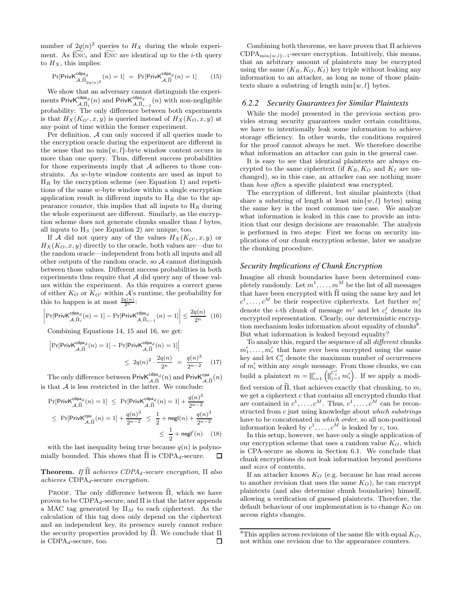number of  $2q(n)^2$  queries to  $H_X$  during the whole experiment. As  $\widehat{\text{Enc}}_i$  and  $\widetilde{\text{Enc}}_i$  are identical up to the *i*-th query to  $H_X$ , this implies:

$$
\Pr[\text{PrivK}^{\text{cdpa}_{d}}_{\mathcal{A}, \tilde{\Pi}_{2q(n)^{2}}}(n) = 1] = \Pr[\text{PrivK}^{\text{cdpa}_{d}}_{\mathcal{A}, \tilde{\Pi}}(n) = 1] \tag{15}
$$

We show that an adversary cannot distinguish the experiments PrivK<sup>cdpa</sup>d(n) and PrivK<sup>cdpa</sup>d(n) with non-negligible probability: The only difference between both experiments is that  $H_X(K_{O'} , x, y)$  is queried instead of  $H_X(K_O, x, y)$  at any point of time within the former experiment.

Per definition, A can only succeed if all queries made to the encryption oracle during the experiment are different in the sense that no  $\min\{w, l\}$ -byte window content occurs in more than one query. Thus, different success probabilities for those experiments imply that  $A$  adheres to those constraints. As w-byte window contents are used as input to  $H_R$  by the encryption scheme (see Equation 1) and repetitions of the same w-byte window within a single encryption application result in different inputs to  $H_R$  due to the appearance counter, this implies that all inputs to  $H_R$  during the whole experiment are different. Similarly, as the encryption scheme does not generate chunks smaller than  $l$  bytes, all inputs to  $H<sub>S</sub>$  (see Equation 2) are unique, too.

If A did not query any of the values  $H_X(K_{Q'}, x, y)$  or  $H_X(K_O, x, y)$  directly to the oracle, both values are—due to the random oracle—independent from both all inputs and all other outputs of the random oracle, so A cannot distinguish between those values. Different success probabilities in both experiments thus require that  $A$  did query any of those values within the experiment. As this requires a correct guess of either  $K_O$  or  $K_{O'}$  within A's runtime, the probability for this to happen is at most  $\frac{2q(n)}{2^n}$ :

$$
\left|\Pr[\text{PrivK}_{\mathcal{A},\hat{\Pi}_i}^{\text{cdpa}_{d}}(n) = 1] - \Pr[\text{PrivK}_{\mathcal{A},\hat{\Pi}_{i-1}}^{\text{cdpa}_{d}}(n) = 1]\right| \le \frac{2q(n)}{2^n} \tag{16}
$$

Combining Equations 14, 15 and 16, we get:

$$
\left| \Pr[\text{PrivK}_{\mathcal{A}, \widetilde{\Pi}}^{\text{cdpa}_{d}}(n) = 1] - \Pr[\text{PrivK}_{\mathcal{A}, \widehat{\Pi}}^{\text{cdpa}_{d}}(n) = 1] \right|
$$
  
 
$$
\leq 2q(n)^{2} \cdot \frac{2q(n)}{2^{n}} = \frac{q(n)^{3}}{2^{n-2}} \quad (17)
$$

The only difference between  $\mathsf{PrivK}_{\mathcal{A},\tilde{\Pi}}^{\mathsf{cdpa}_d}(n)$  and  $\mathsf{PrivK}_{\mathcal{A},\tilde{\Pi}}^{\mathsf{ca}}(n)$ is that  $A$  is less restricted in the latter. We conclude:

$$
\Pr[\text{PrivK}_{\mathcal{A},\tilde{\Pi}}^{\text{cdpa}_{d}}(n) = 1] \leq \Pr[\text{PrivK}_{\mathcal{A},\tilde{\Pi}}^{\text{cdpa}_{d}}(n) = 1] + \frac{q(n)^{3}}{2^{n-2}}
$$
  

$$
\leq \Pr[\text{PrivK}_{\mathcal{A},\tilde{\Pi}}^{\text{cpa}}(n) = 1] + \frac{q(n)^{3}}{2^{n-2}} \leq \frac{1}{2} + \text{negl}(n) + \frac{q(n)^{3}}{2^{n-2}}
$$
  

$$
\leq \frac{1}{2} + \text{negl}'(n) \quad (18)
$$

with the last inequality being true because  $q(n)$  is polynomially bounded. This shows that  $\Pi$  is CDPA<sub>d</sub>-secure.  $\Box$ 

#### **Theorem.** If  $\hat{\Pi}$  achieves CDPA<sub>d</sub>-secure encryption,  $\Pi$  also  $achieves CDPA<sub>d</sub>-secure encryption.$

PROOF. The only difference between  $\Pi$ , which we have proven to be  $CDPA_d$ -secure, and  $\Pi$  is that the latter appends a MAC tag generated by  $\Pi_M$  to each ciphertext. As the calculation of this tag does only depend on the ciphertext and an independent key, its presence surely cannot reduce the security properties provided by  $\widehat{\Pi}$ . We conclude that  $\Pi$  is CDPA<sub>d</sub>-secure, too. is  $CDPA<sub>d</sub>$ -secure, too.

Combining both theorems, we have proven that  $\Pi$  achieves CDPA $_{\min\{w,l\}-1}$ -secure encryption. Intuitively, this means, that an arbitrary amount of plaintexts may be encrypted using the same  $(K_R, K_Q, K_I)$  key triple without leaking any information to an attacker, as long as none of those plaintexts share a substring of length  $\min\{w, l\}$  bytes.

#### *6.2.2 Security Guarantees for Similar Plaintexts*

While the model presented in the previous section provides strong security guarantees under certain conditions, we have to intentionally leak some information to achieve storage efficiency. In other words, the conditions required for the proof cannot always be met. We therefore describe what information an attacker can gain in the general case.

It is easy to see that identical plaintexts are always encrypted to the same ciphertext (if  $K_R$ ,  $K_Q$  and  $K_I$  are unchanged), so in this case, an attacker can see nothing more than how often a specific plaintext was encrypted.

The encryption of different, but similar plaintexts (that share a substring of length at least  $\min\{w, l\}$  bytes) using the same key is the most common use case. We analyze what information is leaked in this case to provide an intuition that our design decisions are reasonable. The analysis is performed in two steps: First we focus on security implications of our chunk encryption scheme, later we analyze the chunking procedure.

#### *Security Implications of Chunk Encryption*

Imagine all chunk boundaries have been determined completely randomly. Let  $m^1, \ldots, m^M$  be the list of all messages that have been encrypted with  $\widehat{\Pi}$  using the same key and let  $c^1, \ldots, c^M$  be their respective ciphertexts. Let further  $m_i^j$ denote the *i*-th chunk of message  $m^j$  and let  $c_i^j$  denote its encrypted representation. Clearly, our deterministic encryption mechanism leaks information about equality of chunks<sup>8</sup>. But what information is leaked beyond equality?

To analyze this, regard the sequence of all different chunks  $m'_1, \ldots, m'_r$  that have ever been encrypted using the same key and let  $C_i'$  denote the maximum number of occurrences of  $m'_i$  within any *single* message. From those chunks, we can build a plaintext  $m = \prod_{i=1}^r \left( \prod_{j=1}^{C'_i} m'_i \right)$ . If we apply a modified version of  $\tilde{\Pi}$ , that achieves exactly that chunking, to m, we get a ciphertext  $c$  that contains all encrypted chunks that are contained in  $c^1, \ldots, c^M$ . Thus,  $c^1, \ldots, c^M$  can be reconstructed from c just using knowledge about which substrings have to be concatenated in which order, so all non-positional information leaked by  $c^1, \ldots, c^M$  is leaked by c, too.

In this setup, however, we have only a single application of our encryption scheme that uses a random value  $K_O$ , which is CPA-secure as shown in Section 6.1. We conclude that chunk encryptions do not leak information beyond positions and sizes of contents.

If an attacker knows  $K_O$  (e.g. because he has read access to another revision that uses the same  $K_O$ ), he can encrypt plaintexts (and also determine chunk boundaries) himself, allowing a verification of guessed plaintexts. Therefore, the default behaviour of our implementation is to change  $K_O$  on access rights changes.

<sup>&</sup>lt;sup>8</sup>This applies across revisions of the same file with equal  $K_O$ , not within one revision due to the appearance counters.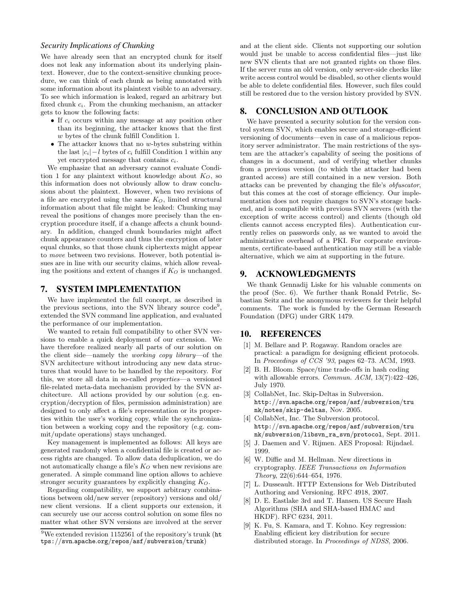#### *Security Implications of Chunking*

We have already seen that an encrypted chunk for itself does not leak any information about its underlying plaintext. However, due to the context-sensitive chunking procedure, we can think of each chunk as being annotated with some information about its plaintext visible to an adversary. To see which information is leaked, regard an arbitrary but fixed chunk  $c_i$ . From the chunking mechanism, an attacker gets to know the following facts:

- If  $c_i$  occurs within any message at any position other than its beginning, the attacker knows that the first w bytes of the chunk fulfill Condition 1.
- $\bullet$  The attacker knows that no w-bytes substring within the last  $|c_i| - l$  bytes of  $c_i$  fulfill Condition 1 within any yet encrypted message that contains  $c_i$ .

We emphasize that an adversary cannot evaluate Condition 1 for any plaintext without knowledge about  $K_O$ , so this information does not obviously allow to draw conclusions about the plaintext. However, when two revisions of a file are encrypted using the same  $K_O$ , limited structural information about that file might be leaked: Chunking may reveal the positions of changes more precisely than the encryption procedure itself, if a change affects a chunk boundary. In addition, changed chunk boundaries might affect chunk appearance counters and thus the encryption of later equal chunks, so that those chunk ciphertexts might appear to move between two revisions. However, both potential issues are in line with our security claims, which allow revealing the positions and extent of changes if  $K_O$  is unchanged.

#### 7. SYSTEM IMPLEMENTATION

We have implemented the full concept, as described in the previous sections, into the SVN library source code<sup>9</sup> , extended the SVN command line application, and evaluated the performance of our implementation.

We wanted to retain full compatibility to other SVN versions to enable a quick deployment of our extension. We have therefore realized nearly all parts of our solution on the client side—namely the working copy library—of the SVN architecture without introducing any new data structures that would have to be handled by the repository. For this, we store all data in so-called properties—a versioned file-related meta-data mechanism provided by the SVN architecture. All actions provided by our solution (e.g. encryption/decryption of files, permission administration) are designed to only affect a file's representation or its properties within the user's working copy, while the synchronization between a working copy and the repository (e.g. commit/update operations) stays unchanged.

Key management is implemented as follows: All keys are generated randomly when a confidential file is created or access rights are changed. To allow data deduplication, we do not automatically change a file's  $K_O$  when new revisions are generated. A simple command line option allows to achieve stronger security guarantees by explicitly changing  $K_Q$ .

Regarding compatibility, we support arbitrary combinations between old/new server (repository) versions and old/ new client versions. If a client supports our extension, it can securely use our access control solution on some files no matter what other SVN versions are involved at the server and at the client side. Clients not supporting our solution would just be unable to access confidential files—just like new SVN clients that are not granted rights on those files. If the server runs an old version, only server-side checks like write access control would be disabled, so other clients would be able to delete confidential files. However, such files could still be restored due to the version history provided by SVN.

## 8. CONCLUSION AND OUTLOOK

We have presented a security solution for the version control system SVN, which enables secure and storage-efficient versioning of documents—even in case of a malicious repository server administrator. The main restrictions of the system are the attacker's capability of seeing the positions of changes in a document, and of verifying whether chunks from a previous version (to which the attacker had been granted access) are still contained in a new version. Both attacks can be prevented by changing the file's obfuscator, but this comes at the cost of storage efficiency. Our implementation does not require changes to SVN's storage backend, and is compatible with previous SVN servers (with the exception of write access control) and clients (though old clients cannot access encrypted files). Authentication currently relies on passwords only, as we wanted to avoid the administrative overhead of a PKI. For corporate environments, certificate-based authentication may still be a viable alternative, which we aim at supporting in the future.

## 9. ACKNOWLEDGMENTS

We thank Gennadij Liske for his valuable comments on the proof (Sec. 6). We further thank Ronald Petrlic, Sebastian Seitz and the anonymous reviewers for their helpful comments. The work is funded by the German Research Foundation (DFG) under GRK 1479.

#### 10. REFERENCES

- [1] M. Bellare and P. Rogaway. Random oracles are practical: a paradigm for designing efficient protocols. In Proceedings of CCS '93, pages 62–73. ACM, 1993.
- [2] B. H. Bloom. Space/time trade-offs in hash coding with allowable errors. *Commun. ACM*, 13(7):422-426, July 1970.
- [3] CollabNet, Inc. Skip-Deltas in Subversion. http://svn.apache.org/repos/asf/subversion/tru nk/notes/skip-deltas, Nov. 2005.
- [4] CollabNet, Inc. The Subversion protocol. http://svn.apache.org/repos/asf/subversion/tru nk/subversion/libsvn\_ra\_svn/protocol, Sept. 2011.
- [5] J. Daemen and V. Rijmen. AES Proposal: Rijndael. 1999.
- [6] W. Diffie and M. Hellman. New directions in cryptography. IEEE Transactions on Information Theory, 22(6):644–654, 1976.
- [7] L. Dusseault. HTTP Extensions for Web Distributed Authoring and Versioning. RFC 4918, 2007.
- [8] D. E. Eastlake 3rd and T. Hansen. US Secure Hash Algorithms (SHA and SHA-based HMAC and HKDF). RFC 6234, 2011.
- [9] K. Fu, S. Kamara, and T. Kohno. Key regression: Enabling efficient key distribution for secure distributed storage. In Proceedings of NDSS, 2006.

 $9$ We extended revision 1152561 of the repository's trunk (ht tps://svn.apache.org/repos/asf/subversion/trunk)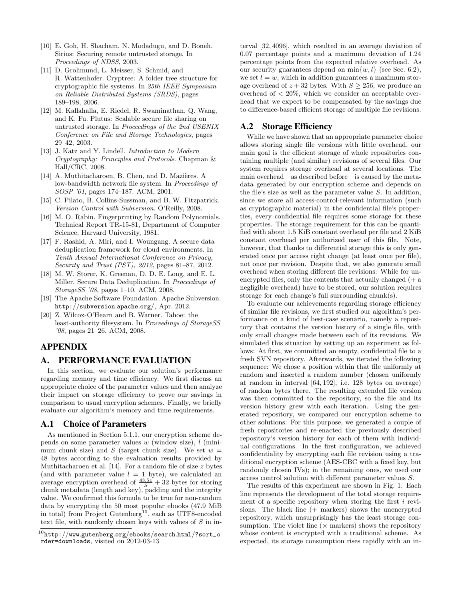- [10] E. Goh, H. Shacham, N. Modadugu, and D. Boneh. Sirius: Securing remote untrusted storage. In Proceedings of NDSS, 2003.
- [11] D. Grolimund, L. Meisser, S. Schmid, and R. Wattenhofer. Cryptree: A folder tree structure for cryptographic file systems. In 25th IEEE Symposium on Reliable Distributed Systems (SRDS), pages 189–198, 2006.
- [12] M. Kallahalla, E. Riedel, R. Swaminathan, Q. Wang, and K. Fu. Plutus: Scalable secure file sharing on untrusted storage. In Proceedings of the 2nd USENIX Conference on File and Storage Technologies, pages 29–42, 2003.
- [13] J. Katz and Y. Lindell. *Introduction to Modern* Cryptography: Principles and Protocols. Chapman & Hall/CRC, 2008.
- [14] A. Muthitacharoen, B. Chen, and D. Mazières. A low-bandwidth network file system. In Proceedings of SOSP '01, pages 174–187. ACM, 2001.
- [15] C. Pilato, B. Collins-Sussman, and B. W. Fitzpatrick. Version Control with Subversion. O'Reilly, 2008.
- [16] M. O. Rabin. Fingerprinting by Random Polynomials. Technical Report TR-15-81, Department of Computer Science, Harvard University, 1981.
- [17] F. Rashid, A. Miri, and I. Woungang. A secure data deduplication framework for cloud environments. In Tenth Annual International Conference on Privacy, Security and Trust (PST), 2012, pages 81–87, 2012.
- [18] M. W. Storer, K. Greenan, D. D. E. Long, and E. L. Miller. Secure Data Deduplication. In Proceedings of StorageSS '08, pages 1–10. ACM, 2008.
- [19] The Apache Software Foundation. Apache Subversion. http://subversion.apache.org/, Apr. 2012.
- [20] Z. Wilcox-O'Hearn and B. Warner. Tahoe: the least-authority filesystem. In Proceedings of StorageSS '08, pages 21–26. ACM, 2008.

# APPENDIX

## A. PERFORMANCE EVALUATION

In this section, we evaluate our solution's performance regarding memory and time efficiency. We first discuss an appropriate choice of the parameter values and then analyze their impact on storage efficiency to prove our savings in comparison to usual encryption schemes. Finally, we briefly evaluate our algorithm's memory and time requirements.

## A.1 Choice of Parameters

As mentioned in Section 5.1.1, our encryption scheme depends on some parameter values  $w$  (window size),  $l$  (minimum chunk size) and S (target chunk size). We set  $w =$ 48 bytes according to the evaluation results provided by Muthitacharoen et al.  $[14]$ . For a random file of size  $z$  bytes (and with parameter value  $l = 1$  byte), we calculated an average encryption overhead of  $\frac{43.5z}{S} + 32$  bytes for storing chunk metadata (length and key), padding and the integrity value. We confirmed this formula to be true for non-random data by encrypting the 50 most popular ebooks (47.9 MiB in total) from Project Gutenberg<sup>10</sup>, each as UTF8-encoded text file, with randomly chosen keys with values of  $S$  in interval [32, 4096], which resulted in an average deviation of 0.07 percentage points and a maximum deviation of 1.24 percentage points from the expected relative overhead. As our security guarantees depend on  $\min\{w, l\}$  (see Sec. 6.2), we set  $l = w$ , which in addition guarantees a maximum storage overhead of  $z + 32$  bytes. With  $S \geq 256$ , we produce an overhead of  $\langle 20\%$ , which we consider an acceptable overhead that we expect to be compensated by the savings due to difference-based efficient storage of multiple file revisions.

#### A.2 Storage Efficiency

While we have shown that an appropriate parameter choice allows storing single file versions with little overhead, our main goal is the efficient storage of whole repositories containing multiple (and similar) revisions of several files. Our system requires storage overhead at several locations. The main overhead—as described before—is caused by the metadata generated by our encryption scheme and depends on the file's size as well as the parameter value S. In addition, since we store all access-control-relevant information (such as cryptographic material) in the confidential file's properties, every confidential file requires some storage for these properties. The storage requirement for this can be quantified with about 1.5 KiB constant overhead per file and 2 KiB constant overhead per authorized user of this file. Note, however, that thanks to differential storage this is only generated once per access right change (at least once per file), not once per revision. Despite that, we also generate small overhead when storing different file revisions: While for unencrypted files, only the contents that actually changed (+ a negligible overhead) have to be stored, our solution requires storage for each change's full surrounding chunk(s).

To evaluate our achievements regarding storage efficiency of similar file revisions, we first studied our algorithm's performance on a kind of best-case scenario, namely a repository that contains the version history of a single file, with only small changes made between each of its revisions. We simulated this situation by setting up an experiment as follows: At first, we committed an empty, confidential file to a fresh SVN repository. Afterwards, we iterated the following sequence: We chose a position within that file uniformly at random and inserted a random number (chosen uniformly at random in interval [64, 192], i.e. 128 bytes on average) of random bytes there. The resulting extended file version was then committed to the repository, so the file and its version history grew with each iteration. Using the generated repository, we compared our encryption scheme to other solutions: For this purpose, we generated a couple of fresh repositories and re-enacted the previously described repository's version history for each of them with individual configurations. In the first configuration, we achieved confidentiality by encrypting each file revision using a traditional encryption scheme (AES-CBC with a fixed key, but randomly chosen IVs); in the remaining ones, we used our access control solution with different parameter values S.

The results of this experiment are shown in Fig. 1. Each line represents the development of the total storage requirement of a specific repository when storing the first i revisions. The black line (+ markers) shows the unencrypted repository, which unsurprisingly has the least storage consumption. The violet line  $(x \text{ markers})$  shows the repository whose content is encrypted with a traditional scheme. As expected, its storage consumption rises rapidly with an in-

 $^{10}\mathrm{http://www.gutenberg.org/ebooks/search.html/?sort\_o}$ rder=downloads, visited on 2012-03-13